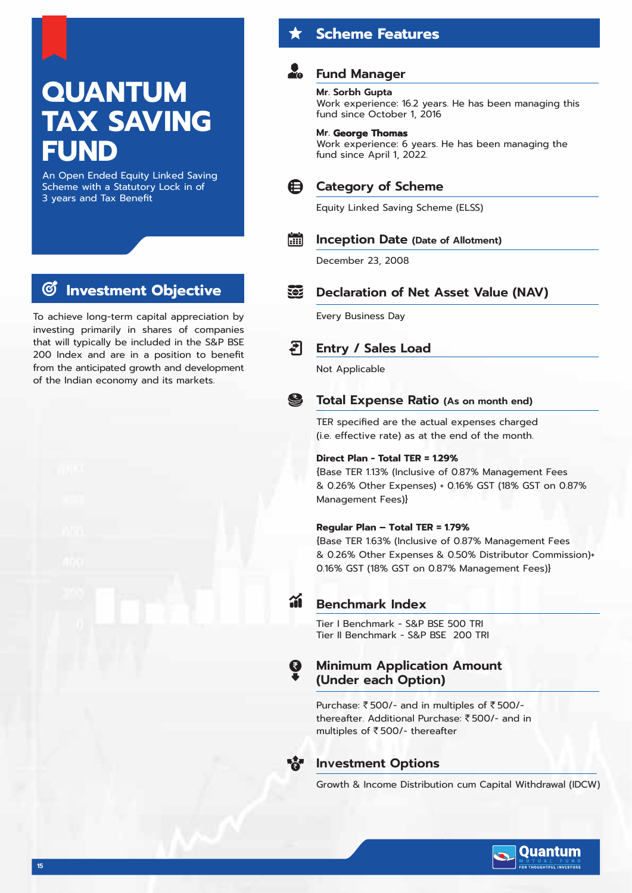# **QUANTUM TAX SAVING**

# **Fund Manager**

**Scheme Features**

### **Mr. Sorbh Gupta**

Work experience: 16.2 years. He has been managing this fund since October 1, 2016

### **Mr. George Thomas**

Work experience: 6 years. He has been managing the fund since April 1, 2022.



### **Category of Scheme**

Equity Linked Saving Scheme (ELSS)

#### **Fill Inception Date (Date of Allotment)**

December 23, 2008

#### **TOP Declaration of Net Asset Value (NAV)**

Every Business Day

#### टा **Entry / Sales Load**

Not Applicable

#### S **Total Expense Ratio (As on month end)**

TER specified are the actual expenses charged (i.e. effective rate) as at the end of the month.

### **Direct Plan - Total TER = 1.29%**

{Base TER 1.13% (Inclusive of 0.87% Management Fees & 0.26% Other Expenses) + 0.16% GST (18% GST on 0.87% Management Fees)}

### **Regular Plan – Total TER = 1.79%**

{Base TER 1.63% (Inclusive of 0.87% Management Fees & 0.26% Other Expenses & 0.50% Distributor Commission)+ 0.16% GST (18% GST on 0.87% Management Fees)}



### **Benchmark Index**

Tier I Benchmark - S&P BSE 500 TRI Tier II Benchmark - S&P BSE 200 TRI

### Q **Minimum Application Amount (Under each Option)**

Purchase: ₹500/- and in multiples of ₹500/thereafter. Additional Purchase: ₹500/- and in multiples of  $\overline{\mathfrak{k}}$  500/- thereafter



### **Investment Options**

Growth & Income Distribution cum Capital Withdrawal (IDCW)



# **Investment Objective**

An Open Ended Equity Linked Saving Scheme with a Statutory Lock in of

3 years and Tax Benefit

**FUND**

To achieve long-term capital appreciation by investing primarily in shares of companies that will typically be included in the S&P BSE 200 Index and are in a position to benefit from the anticipated growth and development of the Indian economy and its markets.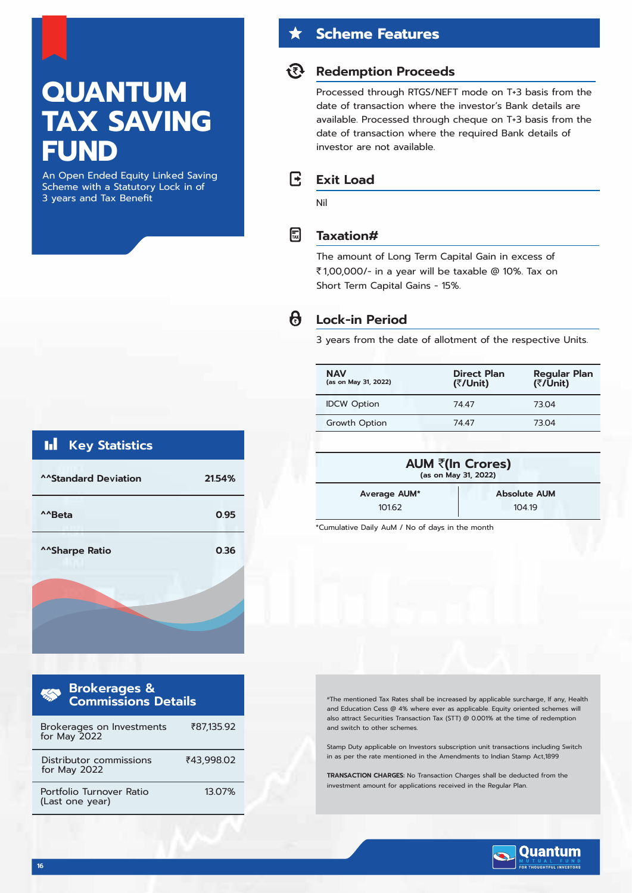# **QUANTUM TAX SAVING FUND**

An Open Ended Equity Linked Saving Scheme with a Statutory Lock in of 3 years and Tax Benefit

# Ы **Key Statistics ^^Standard Deviation 21.54%**

| ^^Beta                  | 0.95 |
|-------------------------|------|
| ^^Sharpe Ratio<br>minon | 0.36 |
|                         |      |
|                         |      |

| <b>Brokerages &amp;<br/>Commissions Details</b> |            |  |  |  |  |  |  |  |
|-------------------------------------------------|------------|--|--|--|--|--|--|--|
| Brokerages on Investments<br>for May 2022       | ₹87.135.92 |  |  |  |  |  |  |  |
| Distributor commissions<br>for May 2022         | ₹43,998.02 |  |  |  |  |  |  |  |
| Portfolio Turnover Ratio<br>(Last one year)     | 13.07%     |  |  |  |  |  |  |  |

# **Scheme Features**

# **Redemption Proceeds**

Processed through RTGS/NEFT mode on T+3 basis from the date of transaction where the investor's Bank details are available. Processed through cheque on T+3 basis from the date of transaction where the required Bank details of investor are not available.

### R **Exit Load**

Nil

同

# **Taxation#**

The amount of Long Term Capital Gain in excess of ₹1,00,000/- in a year will be taxable @ 10%. Tax on Short Term Capital Gains - 15%.

### $\theta$ **Lock-in Period**

3 years from the date of allotment of the respective Units.

| <b>NAV</b><br>(as on May 31, 2022) | <b>Direct Plan</b><br>(₹/Unit) | <b>Regular Plan</b><br>(₹/Ūnit) |
|------------------------------------|--------------------------------|---------------------------------|
| <b>IDCW Option</b>                 | 7447                           | 73.04                           |
| Growth Option                      | 74 47                          | 73.04                           |
|                                    |                                |                                 |

| AUM ₹(In Crores)<br>(as on May 31, 2022) |                     |  |  |  |  |
|------------------------------------------|---------------------|--|--|--|--|
| Average AUM*                             | <b>Absolute AUM</b> |  |  |  |  |
| 101.62<br>104 19                         |                     |  |  |  |  |

\*Cumulative Daily AuM / No of days in the month

#The mentioned Tax Rates shall be increased by applicable surcharge, If any, Health and Education Cess @ 4% where ever as applicable. Equity oriented schemes will also attract Securities Transaction Tax (STT) @ 0.001% at the time of redemption and switch to other schemes.

Stamp Duty applicable on Investors subscription unit transactions including Switch in as per the rate mentioned in the Amendments to Indian Stamp Act,1899

**TRANSACTION CHARGES:** No Transaction Charges shall be deducted from the investment amount for applications received in the Regular Plan.

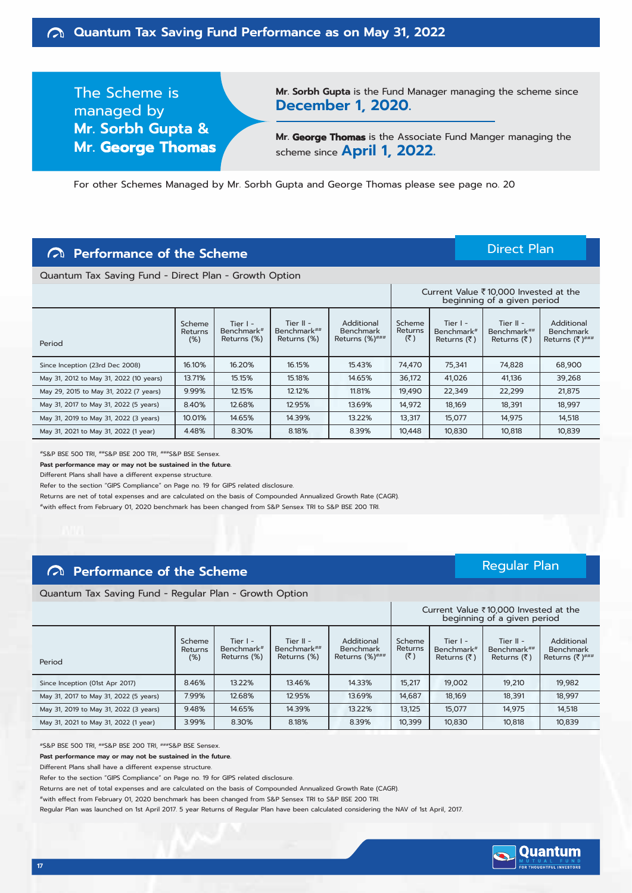The Scheme is managed by **Mr. Sorbh Gupta & Mr. George Thomas** **Mr. Sorbh Gupta** is the Fund Manager managing the scheme since **December 1, 2020.**

**Mr. George Thomas** is the Associate Fund Manger managing the scheme since **April 1, 2022.**

For other Schemes Managed by Mr. Sorbh Gupta and George Thomas please see page no. 20

## **Performance of the Scheme**

Direct Plan

 $C$ urrent Value  $\overline{7}$ 10,000 Invested at the

Quantum Tax Saving Fund - Direct Plan - Growth Option

|                                         |                          |                                         |                                           |                                                     |                          | Carlent value x 10,000 linested at the<br>beginning of a given period |                                                                |                                           |  |
|-----------------------------------------|--------------------------|-----------------------------------------|-------------------------------------------|-----------------------------------------------------|--------------------------|-----------------------------------------------------------------------|----------------------------------------------------------------|-------------------------------------------|--|
| Period                                  | Scheme<br>Returns<br>(%) | Tier $I -$<br>Benchmark#<br>Returns (%) | Tier $II -$<br>Benchmark##<br>Returns (%) | Additional<br><b>Benchmark</b><br>Returns $(%)$ ### | Scheme<br>Returns<br>(3) | Tier $I -$<br>Benchmark#<br>Returns (₹)                               | Tier II -<br>Benchmark <sup>##</sup><br>Returns $(\bar{\tau})$ | Additional<br>Benchmark<br>Returns (₹)### |  |
| Since Inception (23rd Dec 2008)         | 16.10%                   | 16.20%                                  | 16.15%                                    | 15.43%                                              | 74.470                   | 75,341                                                                | 74,828                                                         | 68,900                                    |  |
| May 31, 2012 to May 31, 2022 (10 years) | 13.71%                   | 15.15%                                  | 15.18%                                    | 14.65%                                              | 36,172                   | 41,026                                                                | 41,136                                                         | 39,268                                    |  |
| May 29, 2015 to May 31, 2022 (7 years)  | 9.99%                    | 12.15%                                  | 12.12%                                    | 11.81%                                              | 19,490                   | 22,349                                                                | 22,299                                                         | 21,875                                    |  |
| May 31, 2017 to May 31, 2022 (5 years)  | 8.40%                    | 12.68%                                  | 12.95%                                    | 13.69%                                              | 14,972                   | 18,169                                                                | 18,391                                                         | 18,997                                    |  |
| May 31, 2019 to May 31, 2022 (3 years)  | 10.01%                   | 14.65%                                  | 14.39%                                    | 13.22%                                              | 13,317                   | 15,077                                                                | 14,975                                                         | 14,518                                    |  |
| May 31, 2021 to May 31, 2022 (1 year)   | 4.48%                    | 8.30%                                   | 8.18%                                     | 8.39%                                               | 10,448                   | 10,830                                                                | 10,818                                                         | 10,839                                    |  |

#S&P BSE 500 TRI, ##S&P BSE 200 TRI, ###S&P BSE Sensex.

**Past performance may or may not be sustained in the future.**

Different Plans shall have a different expense structure.

Refer to the section "GIPS Compliance" on Page no. 19 for GIPS related disclosure.

Returns are net of total expenses and are calculated on the basis of Compounded Annualized Growth Rate (CAGR).

#with effect from February 01, 2020 benchmark has been changed from S&P Sensex TRI to S&P BSE 200 TRI.

## **Performance of the Scheme**

Quantum Tax Saving Fund - Regular Plan - Growth Option

## Regular Plan

 $Current$  Value  $\overline{2}10,000$  Invested at the

|                                        |                          |                                         |                                           |                                                             |                          |                                                                | Current value \ IOOOO INVESTED at the<br>beginning of a given period |                                                           |
|----------------------------------------|--------------------------|-----------------------------------------|-------------------------------------------|-------------------------------------------------------------|--------------------------|----------------------------------------------------------------|----------------------------------------------------------------------|-----------------------------------------------------------|
| Period                                 | Scheme<br>Returns<br>(%) | Tier $I -$<br>Benchmark#<br>Returns (%) | Tier $II -$<br>Benchmark##<br>Returns (%) | Additional<br><b>Benchmark</b><br>Returns $(\%)^{\# \# \#}$ | Scheme<br>Returns<br>(₹) | Tier $I -$<br>Benchmark <sup>#</sup><br>Returns $(\bar{\tau})$ | Tier $II -$<br>Benchmark##<br>Returns $(\bar{\zeta})$                | Additional<br><b>Benchmark</b><br>Returns $(3^{n+1})$ ### |
| Since Inception (01st Apr 2017)        | 8.46%                    | 13.22%                                  | 13.46%                                    | 14.33%                                                      | 15,217                   | 19,002                                                         | 19,210                                                               | 19,982                                                    |
| May 31, 2017 to May 31, 2022 (5 years) | 7.99%                    | 12.68%                                  | 12.95%                                    | 13.69%                                                      | 14.687                   | 18,169                                                         | 18.391                                                               | 18.997                                                    |
| May 31, 2019 to May 31, 2022 (3 years) | 9.48%                    | 14.65%                                  | 14.39%                                    | 13.22%                                                      | 13.125                   | 15.077                                                         | 14.975                                                               | 14,518                                                    |
| May 31, 2021 to May 31, 2022 (1 year)  | 3.99%                    | 8.30%                                   | 8.18%                                     | 8.39%                                                       | 10.399                   | 10,830                                                         | 10.818                                                               | 10,839                                                    |

#S&P BSE 500 TRI, ##S&P BSE 200 TRI, ###S&P BSE Sensex.

**Past performance may or may not be sustained in the future.**

Different Plans shall have a different expense structure.

Refer to the section "GIPS Compliance" on Page no. 19 for GIPS related disclosure.

Returns are net of total expenses and are calculated on the basis of Compounded Annualized Growth Rate (CAGR).

#with effect from February 01, 2020 benchmark has been changed from S&P Sensex TRI to S&P BSE 200 TRI.

Regular Plan was launched on 1st April 2017. 5 year Returns of Regular Plan have been calculated considering the NAV of 1st April, 2017.

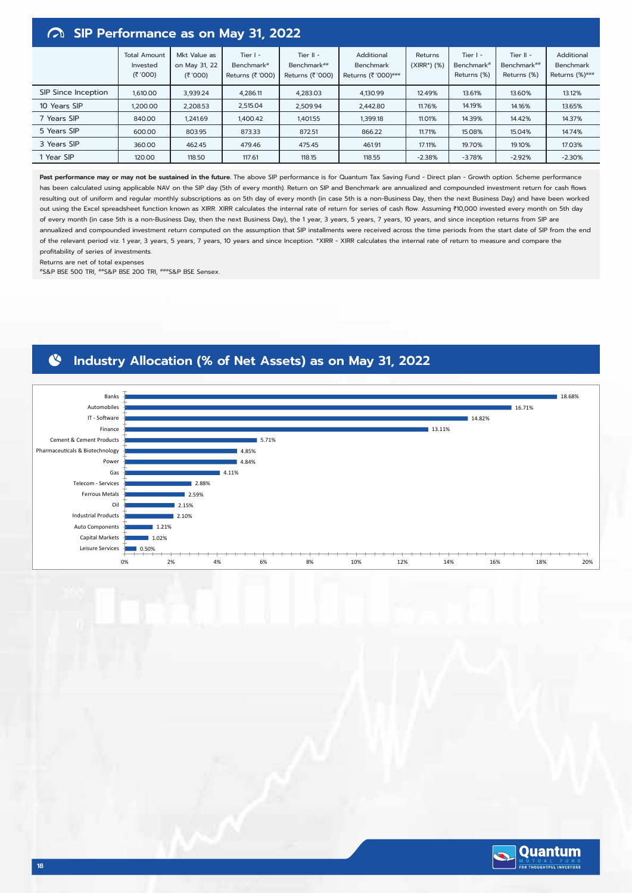# **SIP Performance as on May 31, 2022**

| $17.4$ on terrormance as on may st, avera |                                          |                                           |                                                          |                                                |                                                |                            |                                                     |                                           |                                                  |
|-------------------------------------------|------------------------------------------|-------------------------------------------|----------------------------------------------------------|------------------------------------------------|------------------------------------------------|----------------------------|-----------------------------------------------------|-------------------------------------------|--------------------------------------------------|
|                                           | <b>Total Amount</b><br>Invested<br>(300) | Mkt Value as<br>on May 31, 22<br>(₹ '000) | Tier $I -$<br>Benchmark <sup>#</sup><br>Returns (₹ '000) | Tier $II -$<br>Benchmark##<br>Returns (₹ '000) | Additional<br>Benchmark<br>Returns (₹ '000)### | Returns<br>$(XIRR*)$ $(%)$ | Tier $I -$<br>Benchmark <sup>#</sup><br>Returns (%) | Tier $II -$<br>Benchmark##<br>Returns (%) | Additional<br><b>Benchmark</b><br>Returns (%)### |
| SIP Since Inception                       | 1,610.00                                 | 3,939.24                                  | 4,286.11                                                 | 4,283.03                                       | 4,130.99                                       | 12.49%                     | 13.61%                                              | 13.60%                                    | 13.12%                                           |
| 10 Years SIP                              | 1,200.00                                 | 2,208.53                                  | 2,515.04                                                 | 2,509.94                                       | 2,442.80                                       | 11.76%                     | 14.19%                                              | 14.16%                                    | 13.65%                                           |
| 7 Years SIP                               | 840.00                                   | 1,241.69                                  | 1,400.42                                                 | 1,401.55                                       | 1,399.18                                       | 11.01%                     | 14.39%                                              | 14.42%                                    | 14.37%                                           |
| 5 Years SIP                               | 600.00                                   | 803.95                                    | 873.33                                                   | 872.51                                         | 866.22                                         | 11.71%                     | 15.08%                                              | 15.04%                                    | 14.74%                                           |
| 3 Years SIP                               | 360.00                                   | 462.45                                    | 479.46                                                   | 475.45                                         | 461.91                                         | 17.11%                     | 19.70%                                              | 19.10%                                    | 17.03%                                           |
| 1 Year SIP                                | 120.00                                   | 118.50                                    | 117.61                                                   | 118.15                                         | 118.55                                         | $-2.38%$                   | $-3.78%$                                            | $-2.92%$                                  | $-2.30%$                                         |

Past performance may or may not be sustained in the future. The above SIP performance is for Quantum Tax Saving Fund - Direct plan - Growth option. Scheme performance has been calculated using applicable NAV on the SIP day (5th of every month). Return on SIP and Benchmark are annualized and compounded investment return for cash flows resulting out of uniform and regular monthly subscriptions as on 5th day of every month (in case 5th is a non-Business Day, then the next Business Day) and have been worked out using the Excel spreadsheet function known as XIRR. XIRR calculates the internal rate of return for series of cash flow. Assuming ₹10,000 invested every month on 5th day of every month (in case 5th is a non-Business Day, then the next Business Day), the 1 year, 3 years, 5 years, 7 years, 10 years, and since inception returns from SIP are annualized and compounded investment return computed on the assumption that SIP installments were received across the time periods from the start date of SIP from the end of the relevant period viz. 1 year, 3 years, 5 years, 7 years, 10 years and since Inception. \*XIRR - XIRR calculates the internal rate of return to measure and compare the profitability of series of investments.

Returns are net of total expenses

#S&P BSE 500 TRI, ##S&P BSE 200 TRI, ###S&P BSE Sensex.

### **Industry Allocation (% of Net Assets) as on May 31, 2022** N



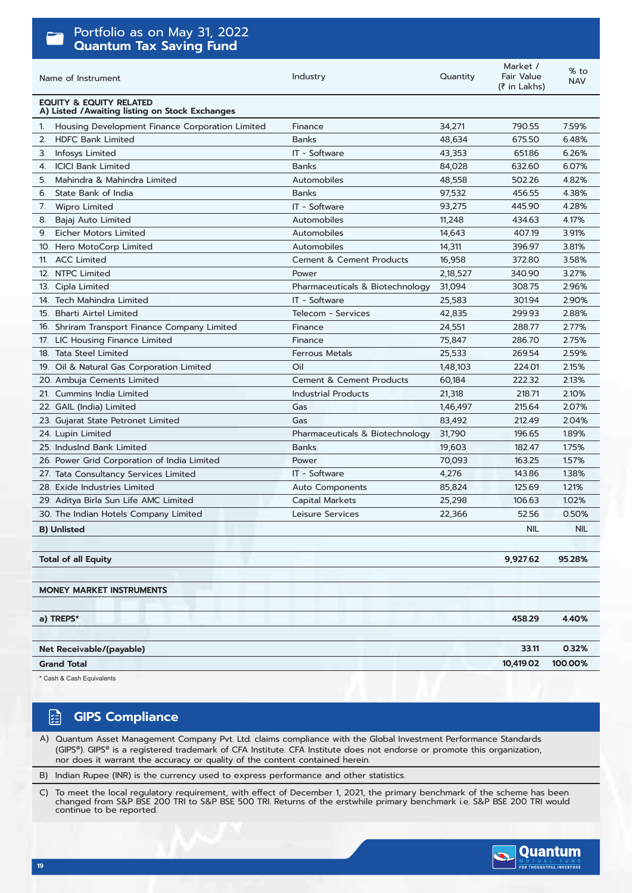| Portfolio as on May 31, 2022                                                          |                                     |          |                                        |                      |
|---------------------------------------------------------------------------------------|-------------------------------------|----------|----------------------------------------|----------------------|
| <b>Quantum Tax Saving Fund</b>                                                        |                                     |          |                                        |                      |
| Name of Instrument                                                                    | Industry                            | Quantity | Market /<br>Fair Value<br>(₹ in Lakhs) | $%$ to<br><b>NAV</b> |
| <b>EQUITY &amp; EQUITY RELATED</b><br>A) Listed / Awaiting listing on Stock Exchanges |                                     |          |                                        |                      |
| Housing Development Finance Corporation Limited<br>1.                                 | Finance                             | 34,271   | 790.55                                 | 7.59%                |
| <b>HDFC Bank Limited</b><br>2.                                                        | <b>Banks</b>                        | 48,634   | 675.50                                 | 6.48%                |
| Infosys Limited<br>З.                                                                 | IT - Software                       | 43,353   | 651.86                                 | 6.26%                |
| <b>ICICI Bank Limited</b><br>4.                                                       | <b>Banks</b>                        | 84,028   | 632.60                                 | 6.07%                |
| Mahindra & Mahindra Limited<br>5.                                                     | Automobiles                         | 48,558   | 502.26                                 | 4.82%                |
| State Bank of India<br>6.                                                             | <b>Banks</b>                        | 97,532   | 456.55                                 | 4.38%                |
| 7. Wipro Limited                                                                      | IT - Software                       | 93,275   | 445.90                                 | 4.28%                |
| 8. Bajaj Auto Limited                                                                 | Automobiles                         | 11,248   | 434.63                                 | 4.17%                |
| <b>Eicher Motors Limited</b><br>9.                                                    | Automobiles                         | 14,643   | 407.19                                 | 3.91%                |
| 10. Hero MotoCorp Limited                                                             | Automobiles                         | 14,311   | 396.97                                 | 3.81%                |
| 11. ACC Limited                                                                       | <b>Cement &amp; Cement Products</b> | 16,958   | 372.80                                 | 3.58%                |
| 12. NTPC Limited                                                                      | Power                               | 2,18,527 | 340.90                                 | 3.27%                |
| 13. Cipla Limited                                                                     | Pharmaceuticals & Biotechnology     | 31,094   | 308.75                                 | 2.96%                |
| 14. Tech Mahindra Limited                                                             | IT - Software                       | 25,583   | 301.94                                 | 2.90%                |
| 15. Bharti Airtel Limited                                                             | Telecom - Services                  | 42,835   | 299.93                                 | 2.88%                |
| 16. Shriram Transport Finance Company Limited                                         | Finance                             | 24,551   | 288.77                                 | 2.77%                |
| 17. LIC Housing Finance Limited                                                       | Finance                             | 75,847   | 286.70                                 | 2.75%                |
| 18. Tata Steel Limited                                                                | Ferrous Metals                      | 25,533   | 269.54                                 | 2.59%                |
| 19. Oil & Natural Gas Corporation Limited                                             | Oil                                 | 1,48,103 | 224.01                                 | 2.15%                |
| 20. Ambuja Cements Limited                                                            | <b>Cement &amp; Cement Products</b> | 60,184   | 222.32                                 | 2.13%                |
| 21. Cummins India Limited                                                             | <b>Industrial Products</b>          | 21,318   | 218.71                                 | 2.10%                |
| 22. GAIL (India) Limited                                                              | Gas                                 | 1,46,497 | 215.64                                 | 2.07%                |
| 23. Gujarat State Petronet Limited                                                    | Gas                                 | 83,492   | 212.49                                 | 2.04%                |
| 24. Lupin Limited                                                                     | Pharmaceuticals & Biotechnology     | 31,790   | 196.65                                 | 1.89%                |
| 25. IndusInd Bank Limited                                                             | <b>Banks</b>                        | 19,603   | 182.47                                 | 1.75%                |
| 26. Power Grid Corporation of India Limited                                           | Power                               | 70,093   | 163.25                                 | 1.57%                |
| 27. Tata Consultancy Services Limited                                                 | IT - Software                       | 4,276    | 143.86                                 | 1.38%                |
| 28. Exide Industries Limited                                                          | Auto Components                     | 85,824   | 125.69                                 | 1.21%                |
| 29. Aditya Birla Sun Life AMC Limited                                                 | Capital Markets                     | 25,298   | 106.63                                 | 1.02%                |
| 30. The Indian Hotels Company Limited                                                 | Leisure Services                    | 22,366   | 52.56                                  | 0.50%                |
| <b>B) Unlisted</b>                                                                    |                                     |          | <b>NIL</b>                             | <b>NIL</b>           |
|                                                                                       |                                     |          |                                        |                      |
| <b>Total of all Equity</b>                                                            |                                     |          | 9,927.62                               | 95.28%               |
|                                                                                       |                                     |          |                                        |                      |
| <b>MONEY MARKET INSTRUMENTS</b>                                                       |                                     |          |                                        |                      |
| a) TREPS*                                                                             |                                     |          | 458.29                                 | 4.40%                |
|                                                                                       |                                     |          |                                        |                      |
| Net Receivable/(payable)                                                              |                                     |          | 33.11                                  | 0.32%                |
| <b>Grand Total</b>                                                                    |                                     |          | 10,419.02                              | 100.00%              |
|                                                                                       |                                     |          |                                        |                      |

Cash & Cash Equivalents

### 陌 **GIPS Compliance**

A) Quantum Asset Management Company Pvt. Ltd. claims compliance with the Global Investment Performance Standards (GIPS®). GIPS® is a registered trademark of CFA Institute. CFA Institute does not endorse or promote this organization, nor does it warrant the accuracy or quality of the content contained herein.

B) Indian Rupee (INR) is the currency used to express performance and other statistics.

To meet the local regulatory requirement, with effect of December 1, 2021, the primary benchmark of the scheme has been<br>changed from S&P BSE 200 TRI to S&P BSE 500 TRI. Returns of the erstwhile primary benchmark i.e. S&P B C)